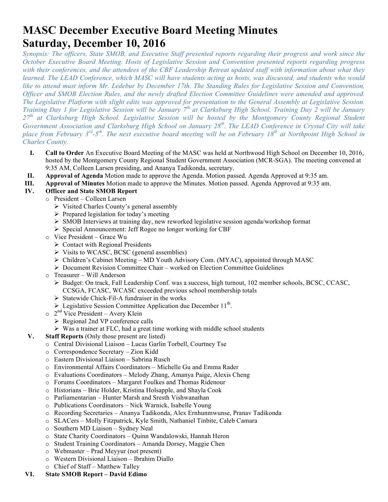# **MASC December Executive Board Meeting Minutes Saturday, December 10, 2016**

*Synopsis: The officers, State SMOB, and Executive Staff presented reports regarding their progress and work since the October Executive Board Meeting. Hosts of Legislative Session and Convention presented reports regarding progress with their conferences, and the attendees of the CBF Leadership Retreat updated staff with information about what they learned. The LEAD Conference, which MASC will have students acting as hosts, was discussed, and students who would like to attend must inform Mr. Ledebur by December 17th. The Standing Rules for Legislative Session and Convention, Officer and SMOB Election Rules, and the newly drafted Election Committee Guidelines were amended and approved. The Legislative Platform with slight edits was approved for presentation to the General Assembly at Legislative Session. Training Day 1 for Legislative Session will be January 7th at Clarksburg High School. Training Day 2 will be January 27th at Clarksburg High School. Legislative Session will be hosted by the Montgomery County Regional Student Government Association and Clarksburg High School on January 28<sup>th</sup>. The LEAD Conference in Crystal City will take place from February 3rd-5th. The next executive board meeting will be on February 18th at Northpoint High School in Charles County.* 

- **I. Call to Order** An Executive Board Meeting of the MASC was held at Northwood High School on December 10, 2016, hosted by the Montgomery County Regional Student Government Association (MCR-SGA). The meeting convened at 9:35 AM, Colleen Larsen presiding, and Ananya Tadikonda, secretary.
- **II. Approval of Agenda** Motion made to approve the Agenda. Motion passed. Agenda Approved at 9:35 am.
- **III. Approval of Minutes** Motion made to approve the Minutes. Motion passed. Agenda Approved at 9:35 am.

## **IV. Officer and State SMOB Report**

- o President Colleen Larsen
	- $\triangleright$  Visited Charles County's general assembly
	- $\triangleright$  Prepared legislation for today's meeting
	- $\triangleright$  SMOB Interviews at training day, new reworked legislative session agenda/workshop format
	- Ø Special Announcement: Jeff Rogee no longer working for CBF
- o Vice President Grace Wu
	- $\triangleright$  Contact with Regional Presidents
	- $\triangleright$  Visits to WCASC, BCSC (general assemblies)
	- $\triangleright$  Children's Cabinet Meeting MD Youth Advisory Com. (MYAC), appointed through MASC
	- $\triangleright$  Document Revision Committee Chair worked on Election Committee Guidelines
- o Treasurer Will Anderson
	- Ø Budget: On track, Fall Leadership Conf. was a success, high turnout, 102 member schools, BCSC, CCASC, CCSGA, FCASC, WCASC exceeded previous school membership totals
	- $\triangleright$  Statewide Chick-Fil-A fundraiser in the works
	- $\triangleright$  Legislative Session Committee Application due December 11<sup>th</sup>.
- $\circ$  2<sup>nd</sup> Vice President Avery Klein
	- $\triangleright$  Regional 2nd VP conference calls
	- $\triangleright$  Was a trainer at FLC, had a great time working with middle school students
- **V. Staff Reports** (Only those present are listed)
	- o Central Divisional Liaison Lucas Garlin Torbell, Courtney Tse
	- o Correspondence Secretary Zion Kidd
	- o Eastern Divisional Liaison Sabrina Rusch
	- o Environmental Affairs Coordinators Michelle Gu and Emma Rader
	- o Evaluations Coordinators Melody Zhang, Amanya Paige, Alexis Cheng
	- o Forums Coordinators Margaret Foulkes and Thomas Ridenour
	- o Historians Brie Holder, Kristina Holsapple, and Shayla Cook
	- o Parliamentarian Hunter Marsh and Sresth Vishwanathan
	- o Publications Coordinators Nick Warnick, Isabelle Young
	- o Recording Secretaries Ananya Tadikonda, Alex Ernhunmwunse, Pranav Tadikonda
	- o SLACers Molly Fitzpatrick, Kyle Smith, Nathaniel Tinbite, Caleb Camara
	- o Southern MD Liaison Sydney Neal
	- o State Charity Coordinators Quinn Wandalowski, Hannah Heron
	- o Student Training Coordinators Amanda Dorsey, Maggie Chen
	- o Webmaster Prad Meyyur (not present)
	- o Western Divisional Liaison Ibrahim Diallo
	- o Chief of Staff Matthew Talley

#### **VI. State SMOB Report – David Edimo**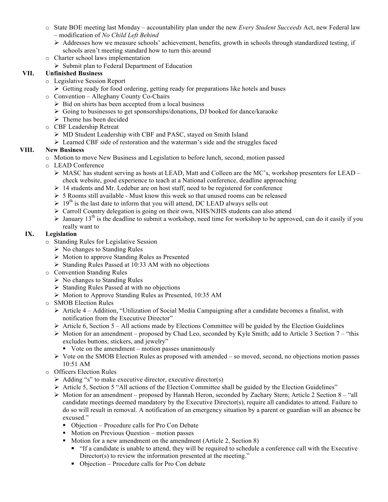- o State BOE meeting last Monday accountability plan under the new *Every Student Succeeds* Act, new Federal law – modification of *No Child Left Behind*
	- $\triangleright$  Addresses how we measure schools' achievement, benefits, growth in schools through standardized testing, if schools aren't meeting standard how to turn this around
- o Charter school laws implementation
	- $\triangleright$  Submit plan to Federal Department of Education

#### **VII. Unfinished Business**

- o Legislative Session Report
	- $\triangleright$  Getting ready for food ordering, getting ready for preparations like hotels and buses
- o Convention Alleghany County Co-Chairs
	- $\triangleright$  Bid on shirts has been accepted from a local business
	- $\triangleright$  Going to businesses to get sponsorships/donations, DJ booked for dance/karaoke
	- $\triangleright$  Theme has been decided
- o CBF Leadership Retreat
	- Ø MD Student Leadership with CBF and PASC, stayed on Smith Island
	- $\triangleright$  Learned CBF side of restoration and the waterman's side and the struggles faced

#### **VIII. New Business**

- o Motion to move New Business and Legislation to before lunch, second, motion passed
- o LEAD Conference
	- $\triangleright$  MASC has student serving as hosts at LEAD, Matt and Colleen are the MC's, workshop presenters for LEAD check website, good experience to teach at a National conference, deadline approaching
	- $\geq 14$  students and Mr. Ledebur are on host staff, need to be registered for conference
	- $\triangleright$  5 Rooms still available Must know this week so that unused rooms can be released
	- $\geq 19^{th}$  is the last date to inform that you will attend, DC LEAD always sells out
	- Ø Carroll Country delegation is going on their own, NHS/NJHS students can also attend
	- $\triangleright$  January 13<sup>th</sup> is the deadline to submit a workshop, need time for workshop to be approved, can do it easily if you really want to

#### **IX. Legislation**

- o Standing Rules for Legislative Session
	- $\triangleright$  No changes to Standing Rules
	- Ø Motion to approve Standing Rules as Presented
	- $\triangleright$  Standing Rules Passed at 10:33 AM with no objections
- o Convention Standing Rules
	- $\triangleright$  No changes to Standing Rules
	- Ø Standing Rules Passed at with no objections
	- Ø Motion to Approve Standing Rules as Presented, 10:35 AM
- o SMOB Election Rules
	- $\triangleright$  Article 4 Addition, "Utilization of Social Media Campaigning after a candidate becomes a finalist, with notification from the Executive Director"
	- $\triangleright$  Article 6, Section 5 All actions made by Elections Committee will be guided by the Election Guidelines
	- $\triangleright$  Motion for an amendment proposed by Chad Leo, seconded by Kyle Smith; add to Article 3 Section 7 "this excludes buttons, stickers, and jewelry"
		- Vote on the amendment motion passes unanimously
	- $\triangleright$  Vote on the SMOB Election Rules as proposed with amended so moved, second, no objections motion passes 10:51 AM
- o Officers Election Rules
	- $\triangleright$  Adding "s" to make executive director, executive director(s)
	- Ø Article 5, Section 5 "All actions of the Election Committee shall be guided by the Election Guidelines"
	- $\triangleright$  Motion for an amendment proposed by Hannah Heron, seconded by Zachary Stern; Article 2 Section 8 "all" candidate meetings deemed mandatory by the Executive Director(s), require all candidates to attend. Failure to do so will result in removal. A notification of an emergency situation by a parent or guardian will an absence be excused."
		- Objection Procedure calls for Pro Con Debate
		- Motion on Previous Ouestion motion passes
		- Motion for a new amendment on the amendment (Article 2, Section 8)
			- "If a candidate is unable to attend, they will be required to schedule a conference call with the Executive Director(s) to review the information presented at the meeting."
			- Objection Procedure calls for Pro Con debate